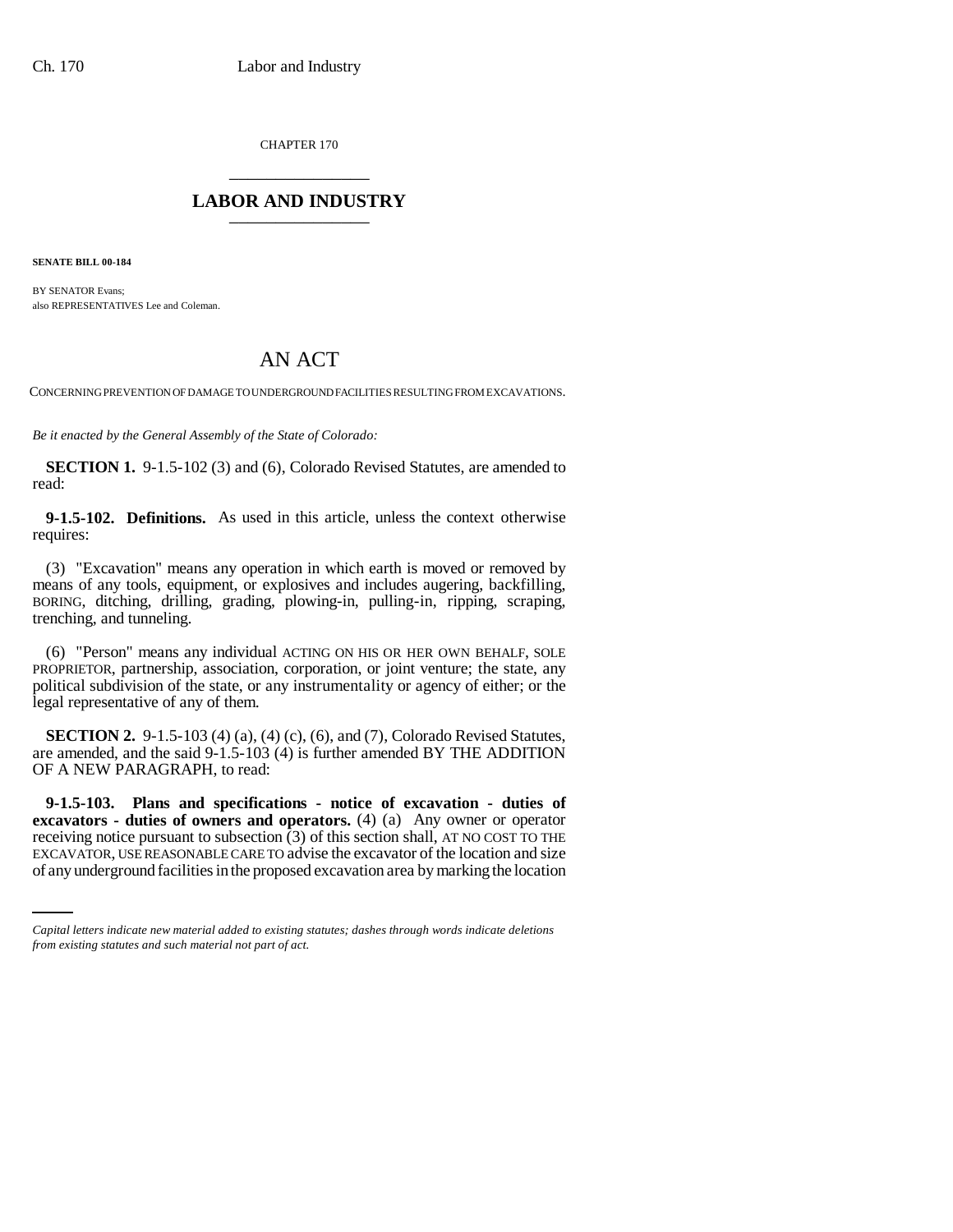CHAPTER 170 \_\_\_\_\_\_\_\_\_\_\_\_\_\_\_

## **LABOR AND INDUSTRY** \_\_\_\_\_\_\_\_\_\_\_\_\_\_\_

**SENATE BILL 00-184** 

BY SENATOR Evans; also REPRESENTATIVES Lee and Coleman.

# AN ACT

CONCERNING PREVENTION OF DAMAGE TO UNDERGROUND FACILITIES RESULTING FROM EXCAVATIONS.

*Be it enacted by the General Assembly of the State of Colorado:*

**SECTION 1.** 9-1.5-102 (3) and (6), Colorado Revised Statutes, are amended to read:

**9-1.5-102. Definitions.** As used in this article, unless the context otherwise requires:

(3) "Excavation" means any operation in which earth is moved or removed by means of any tools, equipment, or explosives and includes augering, backfilling, BORING, ditching, drilling, grading, plowing-in, pulling-in, ripping, scraping, trenching, and tunneling.

(6) "Person" means any individual ACTING ON HIS OR HER OWN BEHALF, SOLE PROPRIETOR, partnership, association, corporation, or joint venture; the state, any political subdivision of the state, or any instrumentality or agency of either; or the legal representative of any of them.

**SECTION 2.** 9-1.5-103 (4) (a), (4) (c), (6), and (7), Colorado Revised Statutes, are amended, and the said 9-1.5-103 (4) is further amended BY THE ADDITION OF A NEW PARAGRAPH, to read:

receiving notice pursuant to subsection (3) of this section shall, AT NO COST TO THE **9-1.5-103. Plans and specifications - notice of excavation - duties of excavators - duties of owners and operators.** (4) (a) Any owner or operator EXCAVATOR, USE REASONABLE CARE TO advise the excavator of the location and size of any underground facilities in the proposed excavation area by marking the location

*Capital letters indicate new material added to existing statutes; dashes through words indicate deletions from existing statutes and such material not part of act.*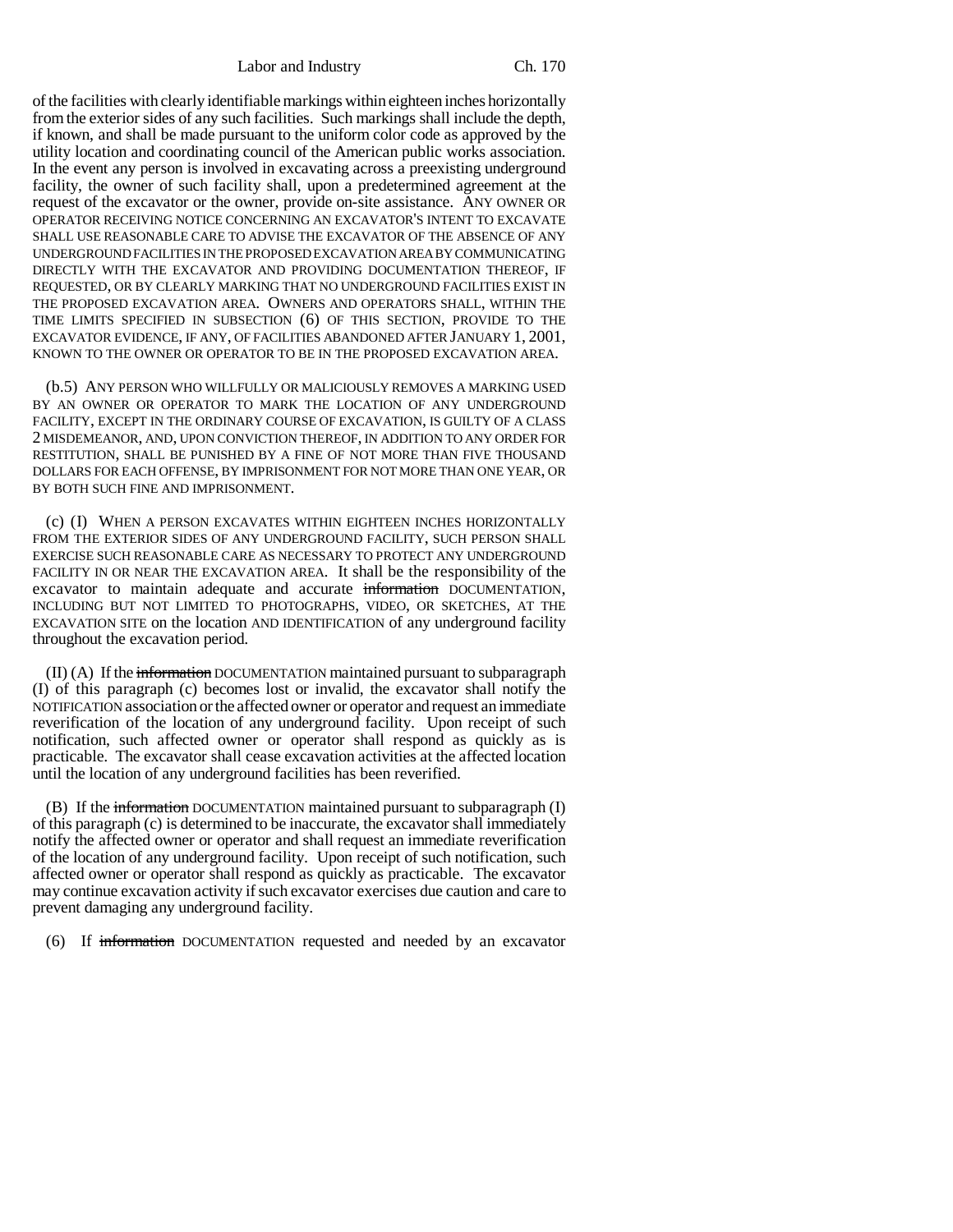Labor and Industry Ch. 170

of the facilities with clearly identifiable markings within eighteen inches horizontally from the exterior sides of any such facilities. Such markings shall include the depth, if known, and shall be made pursuant to the uniform color code as approved by the utility location and coordinating council of the American public works association. In the event any person is involved in excavating across a preexisting underground facility, the owner of such facility shall, upon a predetermined agreement at the request of the excavator or the owner, provide on-site assistance. ANY OWNER OR OPERATOR RECEIVING NOTICE CONCERNING AN EXCAVATOR'S INTENT TO EXCAVATE SHALL USE REASONABLE CARE TO ADVISE THE EXCAVATOR OF THE ABSENCE OF ANY UNDERGROUND FACILITIES IN THE PROPOSED EXCAVATION AREA BY COMMUNICATING DIRECTLY WITH THE EXCAVATOR AND PROVIDING DOCUMENTATION THEREOF, IF REQUESTED, OR BY CLEARLY MARKING THAT NO UNDERGROUND FACILITIES EXIST IN THE PROPOSED EXCAVATION AREA. OWNERS AND OPERATORS SHALL, WITHIN THE TIME LIMITS SPECIFIED IN SUBSECTION (6) OF THIS SECTION, PROVIDE TO THE EXCAVATOR EVIDENCE, IF ANY, OF FACILITIES ABANDONED AFTER JANUARY 1, 2001, KNOWN TO THE OWNER OR OPERATOR TO BE IN THE PROPOSED EXCAVATION AREA.

(b.5) ANY PERSON WHO WILLFULLY OR MALICIOUSLY REMOVES A MARKING USED BY AN OWNER OR OPERATOR TO MARK THE LOCATION OF ANY UNDERGROUND FACILITY, EXCEPT IN THE ORDINARY COURSE OF EXCAVATION, IS GUILTY OF A CLASS 2 MISDEMEANOR, AND, UPON CONVICTION THEREOF, IN ADDITION TO ANY ORDER FOR RESTITUTION, SHALL BE PUNISHED BY A FINE OF NOT MORE THAN FIVE THOUSAND DOLLARS FOR EACH OFFENSE, BY IMPRISONMENT FOR NOT MORE THAN ONE YEAR, OR BY BOTH SUCH FINE AND IMPRISONMENT.

(c) (I) WHEN A PERSON EXCAVATES WITHIN EIGHTEEN INCHES HORIZONTALLY FROM THE EXTERIOR SIDES OF ANY UNDERGROUND FACILITY, SUCH PERSON SHALL EXERCISE SUCH REASONABLE CARE AS NECESSARY TO PROTECT ANY UNDERGROUND FACILITY IN OR NEAR THE EXCAVATION AREA. It shall be the responsibility of the excavator to maintain adequate and accurate information DOCUMENTATION, INCLUDING BUT NOT LIMITED TO PHOTOGRAPHS, VIDEO, OR SKETCHES, AT THE EXCAVATION SITE on the location AND IDENTIFICATION of any underground facility throughout the excavation period.

(II) (A) If the information DOCUMENTATION maintained pursuant to subparagraph (I) of this paragraph (c) becomes lost or invalid, the excavator shall notify the NOTIFICATION association or the affected owner or operator and request an immediate reverification of the location of any underground facility. Upon receipt of such notification, such affected owner or operator shall respond as quickly as is practicable. The excavator shall cease excavation activities at the affected location until the location of any underground facilities has been reverified.

(B) If the information DOCUMENTATION maintained pursuant to subparagraph (I) of this paragraph (c) is determined to be inaccurate, the excavator shall immediately notify the affected owner or operator and shall request an immediate reverification of the location of any underground facility. Upon receipt of such notification, such affected owner or operator shall respond as quickly as practicable. The excavator may continue excavation activity if such excavator exercises due caution and care to prevent damaging any underground facility.

(6) If information DOCUMENTATION requested and needed by an excavator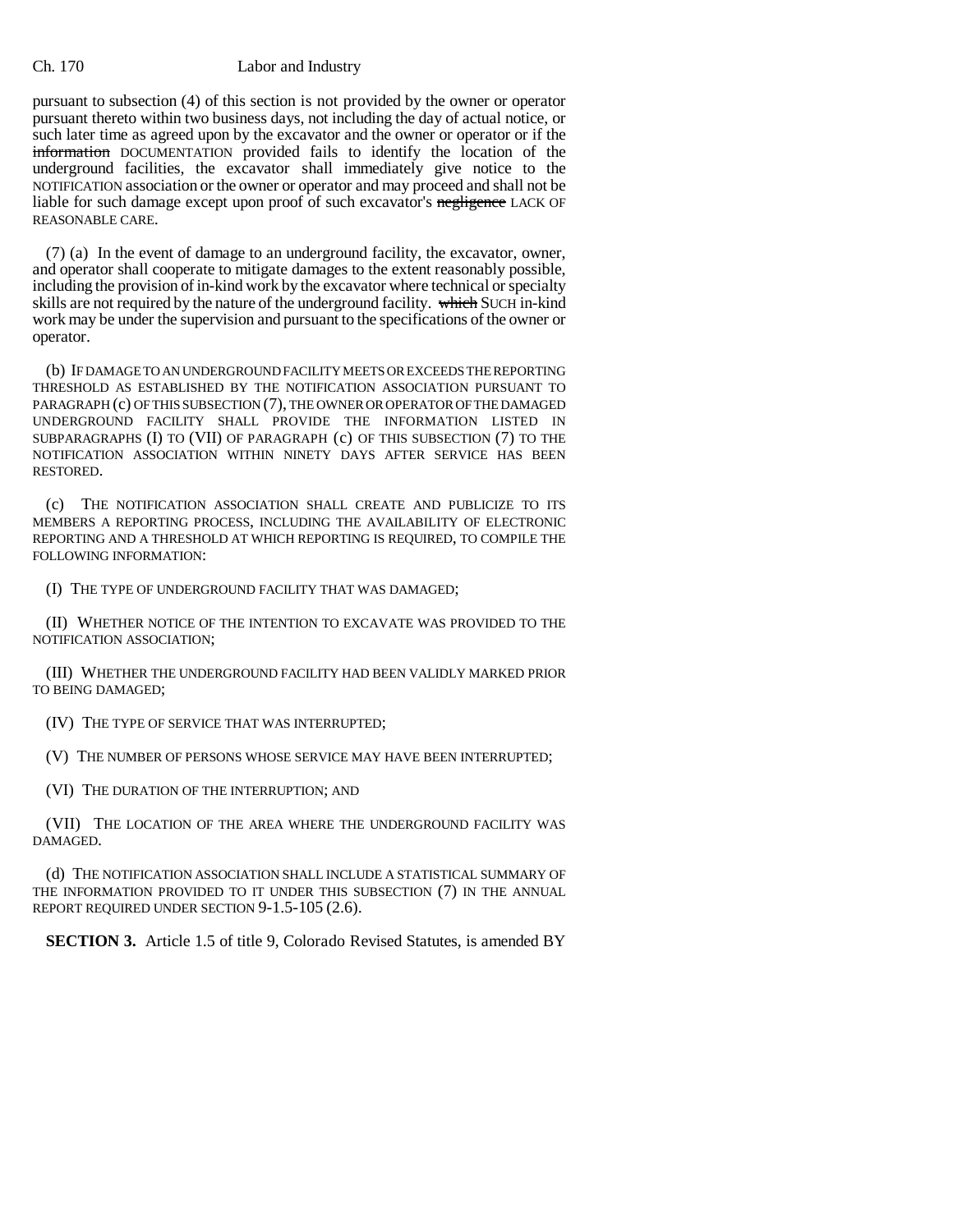#### Ch. 170 Labor and Industry

pursuant to subsection (4) of this section is not provided by the owner or operator pursuant thereto within two business days, not including the day of actual notice, or such later time as agreed upon by the excavator and the owner or operator or if the information DOCUMENTATION provided fails to identify the location of the underground facilities, the excavator shall immediately give notice to the NOTIFICATION association or the owner or operator and may proceed and shall not be liable for such damage except upon proof of such excavator's negligence LACK OF REASONABLE CARE.

(7) (a) In the event of damage to an underground facility, the excavator, owner, and operator shall cooperate to mitigate damages to the extent reasonably possible, including the provision of in-kind work by the excavator where technical or specialty skills are not required by the nature of the underground facility. which SUCH in-kind work may be under the supervision and pursuant to the specifications of the owner or operator.

(b) IF DAMAGE TO AN UNDERGROUND FACILITY MEETS OR EXCEEDS THE REPORTING THRESHOLD AS ESTABLISHED BY THE NOTIFICATION ASSOCIATION PURSUANT TO PARAGRAPH (c) OF THIS SUBSECTION (7), THE OWNER OR OPERATOR OF THE DAMAGED UNDERGROUND FACILITY SHALL PROVIDE THE INFORMATION LISTED IN SUBPARAGRAPHS (I) TO (VII) OF PARAGRAPH (c) OF THIS SUBSECTION (7) TO THE NOTIFICATION ASSOCIATION WITHIN NINETY DAYS AFTER SERVICE HAS BEEN RESTORED.

(c) THE NOTIFICATION ASSOCIATION SHALL CREATE AND PUBLICIZE TO ITS MEMBERS A REPORTING PROCESS, INCLUDING THE AVAILABILITY OF ELECTRONIC REPORTING AND A THRESHOLD AT WHICH REPORTING IS REQUIRED, TO COMPILE THE FOLLOWING INFORMATION:

(I) THE TYPE OF UNDERGROUND FACILITY THAT WAS DAMAGED;

(II) WHETHER NOTICE OF THE INTENTION TO EXCAVATE WAS PROVIDED TO THE NOTIFICATION ASSOCIATION;

(III) WHETHER THE UNDERGROUND FACILITY HAD BEEN VALIDLY MARKED PRIOR TO BEING DAMAGED;

(IV) THE TYPE OF SERVICE THAT WAS INTERRUPTED;

(V) THE NUMBER OF PERSONS WHOSE SERVICE MAY HAVE BEEN INTERRUPTED;

(VI) THE DURATION OF THE INTERRUPTION; AND

(VII) THE LOCATION OF THE AREA WHERE THE UNDERGROUND FACILITY WAS DAMAGED.

(d) THE NOTIFICATION ASSOCIATION SHALL INCLUDE A STATISTICAL SUMMARY OF THE INFORMATION PROVIDED TO IT UNDER THIS SUBSECTION (7) IN THE ANNUAL REPORT REQUIRED UNDER SECTION 9-1.5-105 (2.6).

**SECTION 3.** Article 1.5 of title 9, Colorado Revised Statutes, is amended BY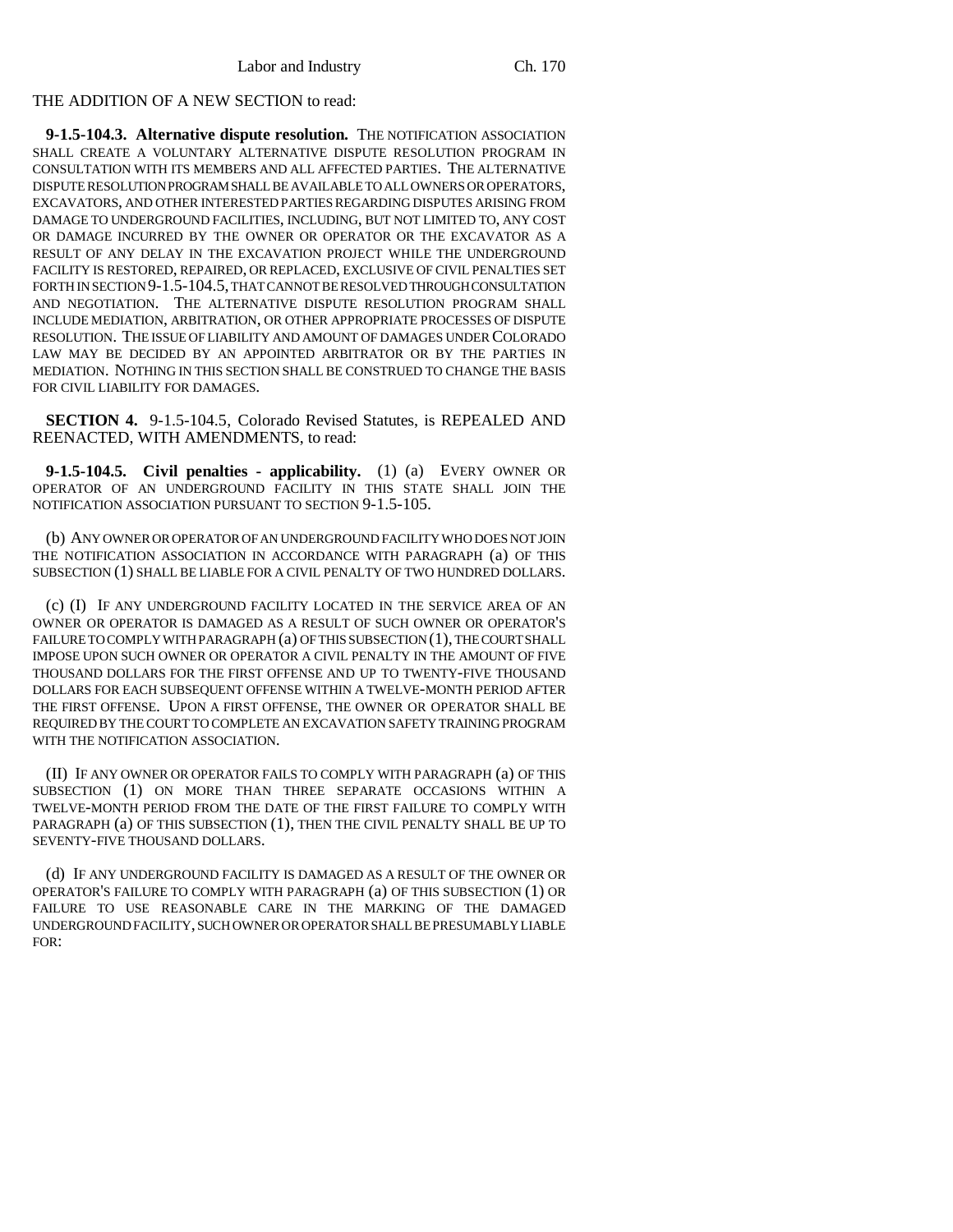## THE ADDITION OF A NEW SECTION to read:

**9-1.5-104.3. Alternative dispute resolution.** THE NOTIFICATION ASSOCIATION SHALL CREATE A VOLUNTARY ALTERNATIVE DISPUTE RESOLUTION PROGRAM IN CONSULTATION WITH ITS MEMBERS AND ALL AFFECTED PARTIES. THE ALTERNATIVE DISPUTE RESOLUTION PROGRAM SHALL BE AVAILABLE TO ALL OWNERS OR OPERATORS, EXCAVATORS, AND OTHER INTERESTED PARTIES REGARDING DISPUTES ARISING FROM DAMAGE TO UNDERGROUND FACILITIES, INCLUDING, BUT NOT LIMITED TO, ANY COST OR DAMAGE INCURRED BY THE OWNER OR OPERATOR OR THE EXCAVATOR AS A RESULT OF ANY DELAY IN THE EXCAVATION PROJECT WHILE THE UNDERGROUND FACILITY IS RESTORED, REPAIRED, OR REPLACED, EXCLUSIVE OF CIVIL PENALTIES SET FORTH IN SECTION 9-1.5-104.5, THAT CANNOT BE RESOLVED THROUGH CONSULTATION AND NEGOTIATION. THE ALTERNATIVE DISPUTE RESOLUTION PROGRAM SHALL INCLUDE MEDIATION, ARBITRATION, OR OTHER APPROPRIATE PROCESSES OF DISPUTE RESOLUTION. THE ISSUE OF LIABILITY AND AMOUNT OF DAMAGES UNDER COLORADO LAW MAY BE DECIDED BY AN APPOINTED ARBITRATOR OR BY THE PARTIES IN MEDIATION. NOTHING IN THIS SECTION SHALL BE CONSTRUED TO CHANGE THE BASIS FOR CIVIL LIABILITY FOR DAMAGES.

**SECTION 4.** 9-1.5-104.5, Colorado Revised Statutes, is REPEALED AND REENACTED, WITH AMENDMENTS, to read:

**9-1.5-104.5. Civil penalties - applicability.** (1) (a) EVERY OWNER OR OPERATOR OF AN UNDERGROUND FACILITY IN THIS STATE SHALL JOIN THE NOTIFICATION ASSOCIATION PURSUANT TO SECTION 9-1.5-105.

(b) ANY OWNER OR OPERATOR OF AN UNDERGROUND FACILITY WHO DOES NOT JOIN THE NOTIFICATION ASSOCIATION IN ACCORDANCE WITH PARAGRAPH (a) OF THIS SUBSECTION (1) SHALL BE LIABLE FOR A CIVIL PENALTY OF TWO HUNDRED DOLLARS.

(c) (I) IF ANY UNDERGROUND FACILITY LOCATED IN THE SERVICE AREA OF AN OWNER OR OPERATOR IS DAMAGED AS A RESULT OF SUCH OWNER OR OPERATOR'S FAILURE TO COMPLY WITH PARAGRAPH (a) OF THIS SUBSECTION (1), THE COURT SHALL IMPOSE UPON SUCH OWNER OR OPERATOR A CIVIL PENALTY IN THE AMOUNT OF FIVE THOUSAND DOLLARS FOR THE FIRST OFFENSE AND UP TO TWENTY-FIVE THOUSAND DOLLARS FOR EACH SUBSEQUENT OFFENSE WITHIN A TWELVE-MONTH PERIOD AFTER THE FIRST OFFENSE. UPON A FIRST OFFENSE, THE OWNER OR OPERATOR SHALL BE REQUIRED BY THE COURT TO COMPLETE AN EXCAVATION SAFETY TRAINING PROGRAM WITH THE NOTIFICATION ASSOCIATION.

(II) IF ANY OWNER OR OPERATOR FAILS TO COMPLY WITH PARAGRAPH (a) OF THIS SUBSECTION (1) ON MORE THAN THREE SEPARATE OCCASIONS WITHIN A TWELVE-MONTH PERIOD FROM THE DATE OF THE FIRST FAILURE TO COMPLY WITH PARAGRAPH (a) OF THIS SUBSECTION (1), THEN THE CIVIL PENALTY SHALL BE UP TO SEVENTY-FIVE THOUSAND DOLLARS.

(d) IF ANY UNDERGROUND FACILITY IS DAMAGED AS A RESULT OF THE OWNER OR OPERATOR'S FAILURE TO COMPLY WITH PARAGRAPH (a) OF THIS SUBSECTION (1) OR FAILURE TO USE REASONABLE CARE IN THE MARKING OF THE DAMAGED UNDERGROUND FACILITY, SUCH OWNER OR OPERATOR SHALL BE PRESUMABLY LIABLE FOR: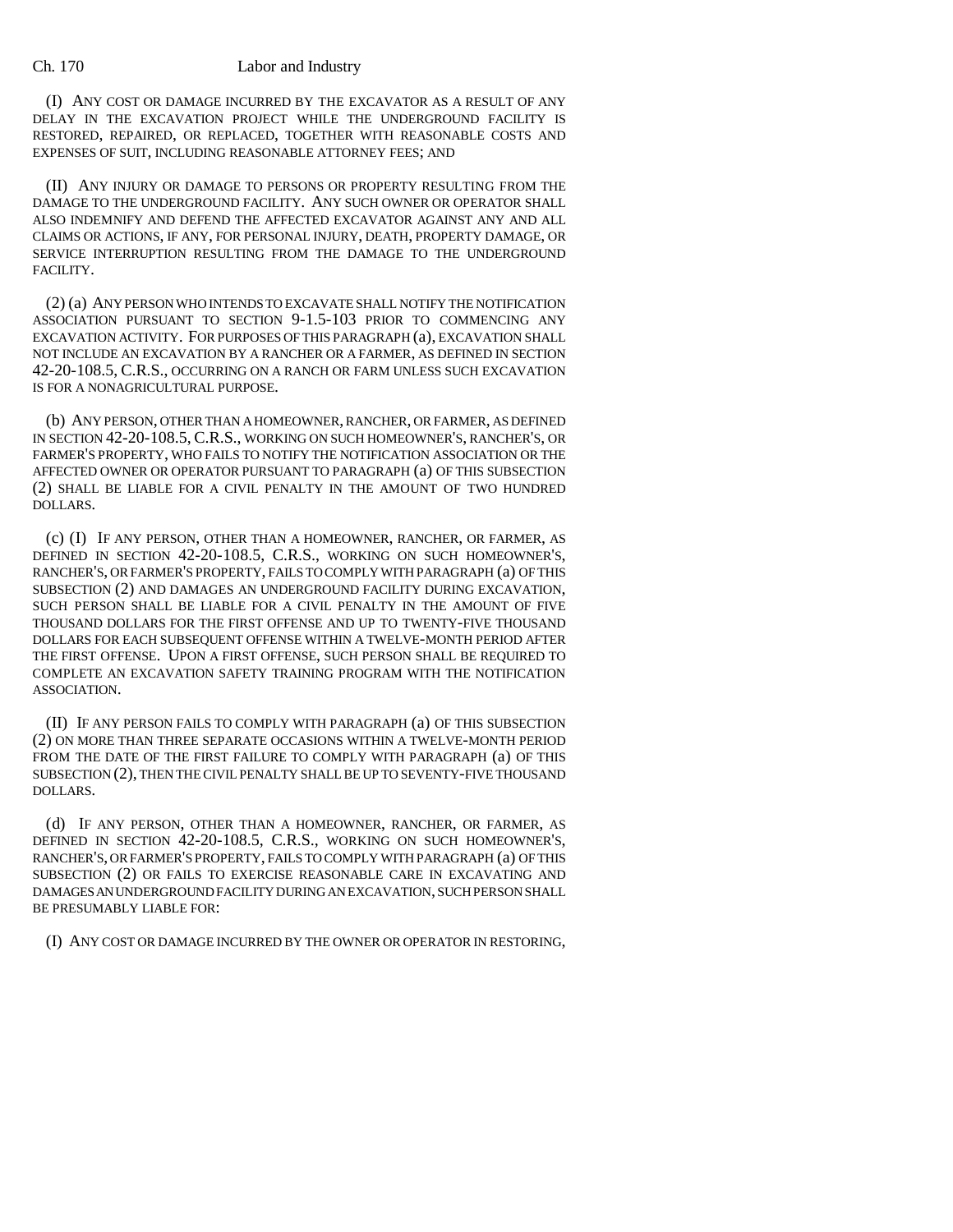### Ch. 170 Labor and Industry

(I) ANY COST OR DAMAGE INCURRED BY THE EXCAVATOR AS A RESULT OF ANY DELAY IN THE EXCAVATION PROJECT WHILE THE UNDERGROUND FACILITY IS RESTORED, REPAIRED, OR REPLACED, TOGETHER WITH REASONABLE COSTS AND EXPENSES OF SUIT, INCLUDING REASONABLE ATTORNEY FEES; AND

(II) ANY INJURY OR DAMAGE TO PERSONS OR PROPERTY RESULTING FROM THE DAMAGE TO THE UNDERGROUND FACILITY. ANY SUCH OWNER OR OPERATOR SHALL ALSO INDEMNIFY AND DEFEND THE AFFECTED EXCAVATOR AGAINST ANY AND ALL CLAIMS OR ACTIONS, IF ANY, FOR PERSONAL INJURY, DEATH, PROPERTY DAMAGE, OR SERVICE INTERRUPTION RESULTING FROM THE DAMAGE TO THE UNDERGROUND FACILITY.

(2) (a) ANY PERSON WHO INTENDS TO EXCAVATE SHALL NOTIFY THE NOTIFICATION ASSOCIATION PURSUANT TO SECTION 9-1.5-103 PRIOR TO COMMENCING ANY EXCAVATION ACTIVITY. FOR PURPOSES OF THIS PARAGRAPH (a), EXCAVATION SHALL NOT INCLUDE AN EXCAVATION BY A RANCHER OR A FARMER, AS DEFINED IN SECTION 42-20-108.5, C.R.S., OCCURRING ON A RANCH OR FARM UNLESS SUCH EXCAVATION IS FOR A NONAGRICULTURAL PURPOSE.

(b) ANY PERSON, OTHER THAN A HOMEOWNER, RANCHER, OR FARMER, AS DEFINED IN SECTION 42-20-108.5, C.R.S., WORKING ON SUCH HOMEOWNER'S, RANCHER'S, OR FARMER'S PROPERTY, WHO FAILS TO NOTIFY THE NOTIFICATION ASSOCIATION OR THE AFFECTED OWNER OR OPERATOR PURSUANT TO PARAGRAPH (a) OF THIS SUBSECTION (2) SHALL BE LIABLE FOR A CIVIL PENALTY IN THE AMOUNT OF TWO HUNDRED DOLLARS.

(c) (I) IF ANY PERSON, OTHER THAN A HOMEOWNER, RANCHER, OR FARMER, AS DEFINED IN SECTION 42-20-108.5, C.R.S., WORKING ON SUCH HOMEOWNER'S, RANCHER'S, OR FARMER'S PROPERTY, FAILS TO COMPLY WITH PARAGRAPH (a) OF THIS SUBSECTION (2) AND DAMAGES AN UNDERGROUND FACILITY DURING EXCAVATION, SUCH PERSON SHALL BE LIABLE FOR A CIVIL PENALTY IN THE AMOUNT OF FIVE THOUSAND DOLLARS FOR THE FIRST OFFENSE AND UP TO TWENTY-FIVE THOUSAND DOLLARS FOR EACH SUBSEQUENT OFFENSE WITHIN A TWELVE-MONTH PERIOD AFTER THE FIRST OFFENSE. UPON A FIRST OFFENSE, SUCH PERSON SHALL BE REQUIRED TO COMPLETE AN EXCAVATION SAFETY TRAINING PROGRAM WITH THE NOTIFICATION ASSOCIATION.

(II) IF ANY PERSON FAILS TO COMPLY WITH PARAGRAPH (a) OF THIS SUBSECTION (2) ON MORE THAN THREE SEPARATE OCCASIONS WITHIN A TWELVE-MONTH PERIOD FROM THE DATE OF THE FIRST FAILURE TO COMPLY WITH PARAGRAPH (a) OF THIS SUBSECTION (2), THEN THE CIVIL PENALTY SHALL BE UP TO SEVENTY-FIVE THOUSAND DOLLARS.

(d) IF ANY PERSON, OTHER THAN A HOMEOWNER, RANCHER, OR FARMER, AS DEFINED IN SECTION 42-20-108.5, C.R.S., WORKING ON SUCH HOMEOWNER'S, RANCHER'S, OR FARMER'S PROPERTY, FAILS TO COMPLY WITH PARAGRAPH (a) OF THIS SUBSECTION (2) OR FAILS TO EXERCISE REASONABLE CARE IN EXCAVATING AND DAMAGES AN UNDERGROUND FACILITY DURING AN EXCAVATION, SUCH PERSON SHALL BE PRESUMABLY LIABLE FOR:

(I) ANY COST OR DAMAGE INCURRED BY THE OWNER OR OPERATOR IN RESTORING,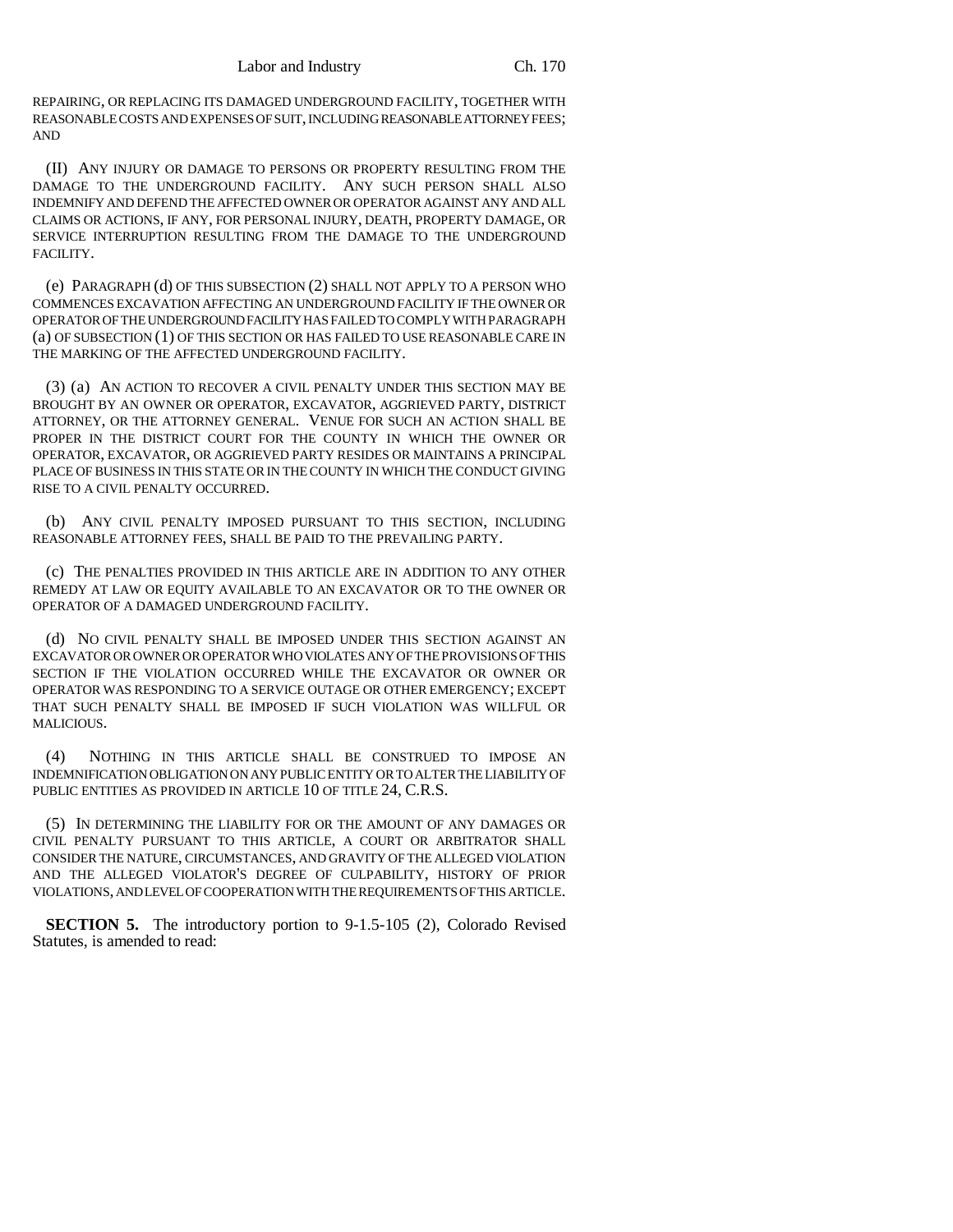REPAIRING, OR REPLACING ITS DAMAGED UNDERGROUND FACILITY, TOGETHER WITH REASONABLE COSTS AND EXPENSES OF SUIT, INCLUDING REASONABLE ATTORNEY FEES; AND

(II) ANY INJURY OR DAMAGE TO PERSONS OR PROPERTY RESULTING FROM THE DAMAGE TO THE UNDERGROUND FACILITY. ANY SUCH PERSON SHALL ALSO INDEMNIFY AND DEFEND THE AFFECTED OWNER OR OPERATOR AGAINST ANY AND ALL CLAIMS OR ACTIONS, IF ANY, FOR PERSONAL INJURY, DEATH, PROPERTY DAMAGE, OR SERVICE INTERRUPTION RESULTING FROM THE DAMAGE TO THE UNDERGROUND FACILITY.

(e) PARAGRAPH (d) OF THIS SUBSECTION (2) SHALL NOT APPLY TO A PERSON WHO COMMENCES EXCAVATION AFFECTING AN UNDERGROUND FACILITY IF THE OWNER OR OPERATOR OF THE UNDERGROUND FACILITY HAS FAILED TO COMPLY WITH PARAGRAPH (a) OF SUBSECTION (1) OF THIS SECTION OR HAS FAILED TO USE REASONABLE CARE IN THE MARKING OF THE AFFECTED UNDERGROUND FACILITY.

(3) (a) AN ACTION TO RECOVER A CIVIL PENALTY UNDER THIS SECTION MAY BE BROUGHT BY AN OWNER OR OPERATOR, EXCAVATOR, AGGRIEVED PARTY, DISTRICT ATTORNEY, OR THE ATTORNEY GENERAL. VENUE FOR SUCH AN ACTION SHALL BE PROPER IN THE DISTRICT COURT FOR THE COUNTY IN WHICH THE OWNER OR OPERATOR, EXCAVATOR, OR AGGRIEVED PARTY RESIDES OR MAINTAINS A PRINCIPAL PLACE OF BUSINESS IN THIS STATE OR IN THE COUNTY IN WHICH THE CONDUCT GIVING RISE TO A CIVIL PENALTY OCCURRED.

(b) ANY CIVIL PENALTY IMPOSED PURSUANT TO THIS SECTION, INCLUDING REASONABLE ATTORNEY FEES, SHALL BE PAID TO THE PREVAILING PARTY.

(c) THE PENALTIES PROVIDED IN THIS ARTICLE ARE IN ADDITION TO ANY OTHER REMEDY AT LAW OR EQUITY AVAILABLE TO AN EXCAVATOR OR TO THE OWNER OR OPERATOR OF A DAMAGED UNDERGROUND FACILITY.

(d) NO CIVIL PENALTY SHALL BE IMPOSED UNDER THIS SECTION AGAINST AN EXCAVATOR OR OWNER OR OPERATOR WHO VIOLATES ANY OF THE PROVISIONS OF THIS SECTION IF THE VIOLATION OCCURRED WHILE THE EXCAVATOR OR OWNER OR OPERATOR WAS RESPONDING TO A SERVICE OUTAGE OR OTHER EMERGENCY; EXCEPT THAT SUCH PENALTY SHALL BE IMPOSED IF SUCH VIOLATION WAS WILLFUL OR MALICIOUS.

(4) NOTHING IN THIS ARTICLE SHALL BE CONSTRUED TO IMPOSE AN INDEMNIFICATION OBLIGATION ON ANY PUBLIC ENTITY OR TO ALTER THE LIABILITY OF PUBLIC ENTITIES AS PROVIDED IN ARTICLE 10 OF TITLE 24, C.R.S.

(5) IN DETERMINING THE LIABILITY FOR OR THE AMOUNT OF ANY DAMAGES OR CIVIL PENALTY PURSUANT TO THIS ARTICLE, A COURT OR ARBITRATOR SHALL CONSIDER THE NATURE, CIRCUMSTANCES, AND GRAVITY OF THE ALLEGED VIOLATION AND THE ALLEGED VIOLATOR'S DEGREE OF CULPABILITY, HISTORY OF PRIOR VIOLATIONS, AND LEVEL OF COOPERATION WITH THE REQUIREMENTS OF THIS ARTICLE.

**SECTION 5.** The introductory portion to 9-1.5-105 (2), Colorado Revised Statutes, is amended to read: